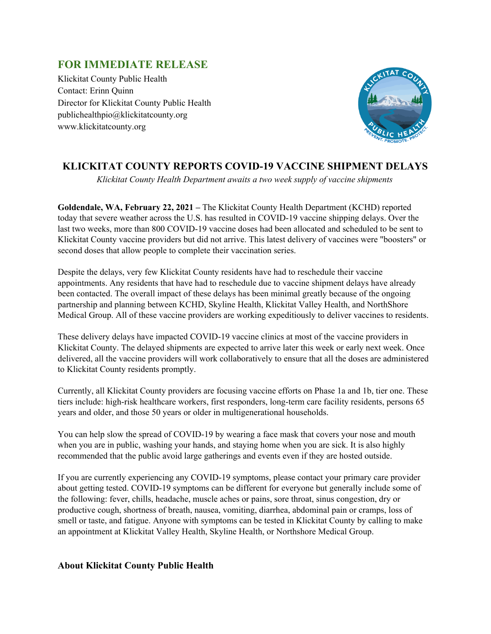## **FOR IMMEDIATE RELEASE**

Klickitat County Public Health Contact: Erinn Quinn Director for Klickitat County Public Health publichealthpio@klickitatcounty.org www.klickitatcounty.org



## **KLICKITAT COUNTY REPORTS COVID-19 VACCINE SHIPMENT DELAYS**

*Klickitat County Health Department awaits a two week supply of vaccine shipments*

**Goldendale, WA, February 22, 2021 –** The Klickitat County Health Department (KCHD) reported today that severe weather across the U.S. has resulted in COVID-19 vaccine shipping delays. Over the last two weeks, more than 800 COVID-19 vaccine doses had been allocated and scheduled to be sent to Klickitat County vaccine providers but did not arrive. This latest delivery of vaccines were "boosters" or second doses that allow people to complete their vaccination series.

Despite the delays, very few Klickitat County residents have had to reschedule their vaccine appointments. Any residents that have had to reschedule due to vaccine shipment delays have already been contacted. The overall impact of these delays has been minimal greatly because of the ongoing partnership and planning between KCHD, Skyline Health, Klickitat Valley Health, and NorthShore Medical Group. All of these vaccine providers are working expeditiously to deliver vaccines to residents.

These delivery delays have impacted COVID-19 vaccine clinics at most of the vaccine providers in Klickitat County. The delayed shipments are expected to arrive later this week or early next week. Once delivered, all the vaccine providers will work collaboratively to ensure that all the doses are administered to Klickitat County residents promptly.

Currently, all Klickitat County providers are focusing vaccine efforts on Phase 1a and 1b, tier one. These tiers include: high-risk healthcare workers, first responders, long-term care facility residents, persons 65 years and older, and those 50 years or older in multigenerational households.

You can help slow the spread of COVID-19 by wearing a face mask that covers your nose and mouth when you are in public, washing your hands, and staying home when you are sick. It is also highly recommended that the public avoid large gatherings and events even if they are hosted outside.

If you are currently experiencing any COVID-19 symptoms, please contact your primary care provider about getting tested. COVID-19 symptoms can be different for everyone but generally include some of the following: fever, chills, headache, muscle aches or pains, sore throat, sinus congestion, dry or productive cough, shortness of breath, nausea, vomiting, diarrhea, abdominal pain or cramps, loss of smell or taste, and fatigue. Anyone with symptoms can be tested in Klickitat County by calling to make an appointment at Klickitat Valley Health, Skyline Health, or Northshore Medical Group.

## **About Klickitat County Public Health**